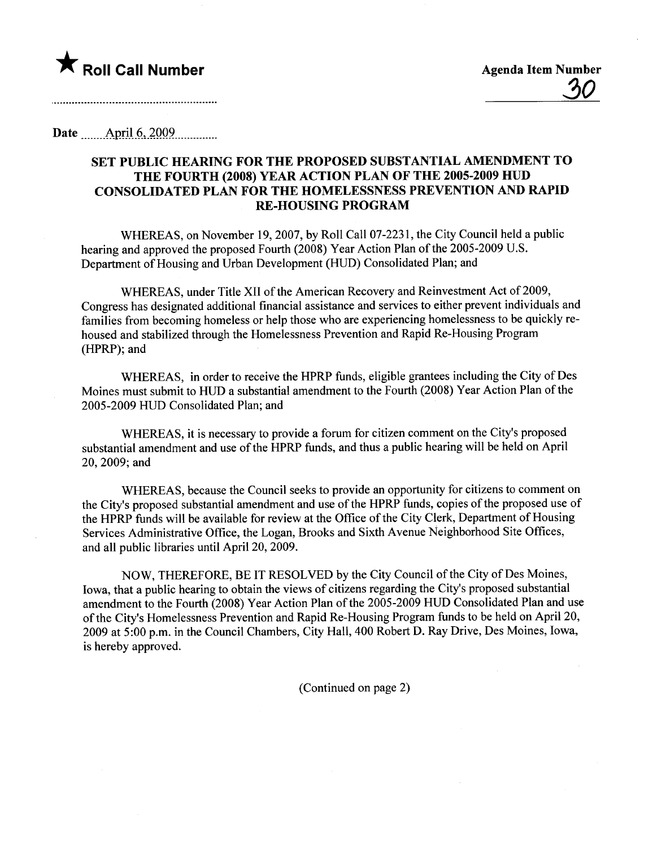

Date \_\_\_\_\_\_\_AP-jJJ~..~QQ2\_mm\_\_.....

## SET PUBLIC HEARING FOR THE PROPOSED SUBSTANTIAL AMENDMENT TO THE FOURTH (2008) YEAR ACTION PLAN OF THE 2005-2009 HUD CONSOLIDATED PLAN FOR THE HOMELESSNESS PREVENTION AND RAPID RE-HOUSING PROGRAM

WHEREAS, on November 19, 2007, by Roll Call 07-2231, the City Council held a public hearing and approved the proposed Fourth (2008) Year Action Plan of the 2005-2009 U.S. Department of Housing and Urban Development (HUD) Consolidated Plan; and

WHEREAS, under Title XII of the American Recovery and Reinvestment Act of 2009, Congress has designated additional financial assistance and services to either prevent individuals and familes from becoming homeless or help those who are experiencing homelessness to be quickly rehoused and stabilized through the Homelessness Prevention and Rapid Re-Housing Program (HPRP); and

WHEREAS, in order to receive the HPRP funds, eligible grantees including the City of Des Moines must submit to HUD a substantial amendment to the Fourth (2008) Year Action Plan of the 2005-2009 HUD Consolidated Plan; and

WHEREAS, it is necessary to provide a forum for citizen comment on the City's proposed substantial amendment and use of the HPRP funds, and thus a public hearing will be held on April 20, 2009; and

WHEREAS, because the Council seeks to provide an opportunity for citizens to comment on the City's proposed substantial amendment and use ofthe HPRP funds, copies of the proposed use of the HPRP funds will be available for review at the Office of the City Clerk, Department of Housing Services Administrative Office, the Logan, Brooks and Sixth Avenue Neighborhood Site Offices, and all public libraries until April 20,2009.

NOW, THEREFORE, BE IT RESOLVED by the City Council of the City of Des Moines, Iowa, that a public hearing to obtain the views of citizens regarding the City's proposed substantial amendment to the Fourth (2008) Year Action Plan of the 2005-2009 HUD Consolidated Plan and use of the City's Homelessness Prevention and Rapid Re-Housing Program funds to be held on April 20, 2009 at 5:00 p.m. in the Council Chambers, City Hall, 400 Robert D. Ray Drive, Des Moines, Iowa, is hereby approved.

(Continued on page 2)